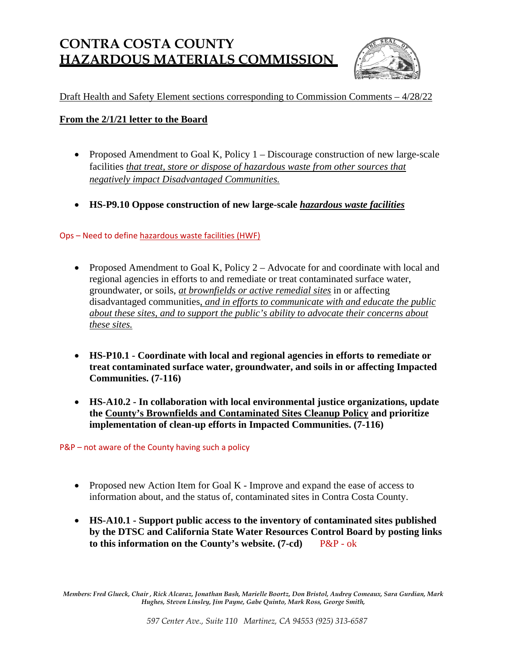# **CONTRA COSTA COUNTY HAZARDOUS MATERIALS COMMISSION**



# Draft Health and Safety Element sections corresponding to Commission Comments – 4/28/22

## **From the 2/1/21 letter to the Board**

- Proposed Amendment to Goal K, Policy 1 Discourage construction of new large-scale facilities *that treat, store or dispose of hazardous waste from other sources that negatively impact Disadvantaged Communities.*
- **HS-P9.10 Oppose construction of new large-scale** *hazardous waste facilities*

Ops – Need to define hazardous waste facilities (HWF)

- Proposed Amendment to Goal K, Policy 2 Advocate for and coordinate with local and regional agencies in efforts to and remediate or treat contaminated surface water, groundwater, or soils, *at brownfields or active remedial sites* in or affecting disadvantaged communities, *and in efforts to communicate with and educate the public about these sites, and to support the public's ability to advocate their concerns about these sites.*
- **HS-P10.1 Coordinate with local and regional agencies in efforts to remediate or treat contaminated surface water, groundwater, and soils in or affecting Impacted Communities. (7-116)**
- **HS-A10.2 In collaboration with local environmental justice organizations, update the County's Brownfields and Contaminated Sites Cleanup Policy and prioritize implementation of clean-up efforts in Impacted Communities. (7-116)**

P&P – not aware of the County having such a policy

- Proposed new Action Item for Goal K Improve and expand the ease of access to information about, and the status of, contaminated sites in Contra Costa County.
- **HS-A10.1 Support public access to the inventory of contaminated sites published by the DTSC and California State Water Resources Control Board by posting links to this information on the County's website. (7-cd)** P&P - ok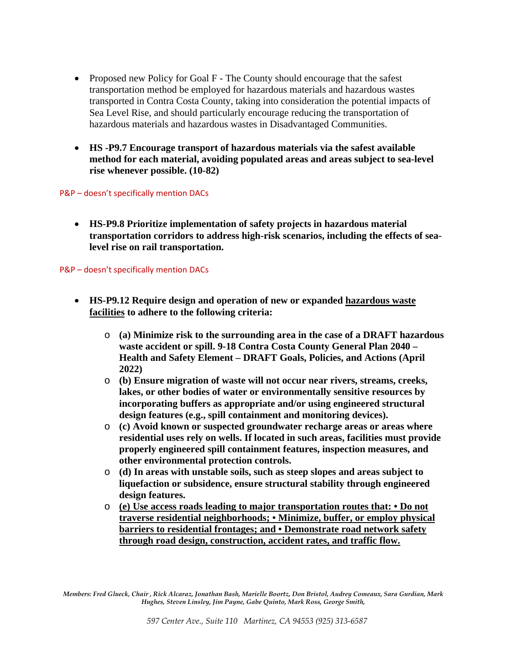- Proposed new Policy for Goal F The County should encourage that the safest transportation method be employed for hazardous materials and hazardous wastes transported in Contra Costa County, taking into consideration the potential impacts of Sea Level Rise, and should particularly encourage reducing the transportation of hazardous materials and hazardous wastes in Disadvantaged Communities.
- **HS -P9.7 Encourage transport of hazardous materials via the safest available method for each material, avoiding populated areas and areas subject to sea-level rise whenever possible. (10-82)**

#### P&P – doesn't specifically mention DACs

• **HS-P9.8 Prioritize implementation of safety projects in hazardous material transportation corridors to address high-risk scenarios, including the effects of sealevel rise on rail transportation.**

#### P&P – doesn't specifically mention DACs

- **HS-P9.12 Require design and operation of new or expanded hazardous waste facilities to adhere to the following criteria:** 
	- o **(a) Minimize risk to the surrounding area in the case of a DRAFT hazardous waste accident or spill. 9-18 Contra Costa County General Plan 2040 – Health and Safety Element – DRAFT Goals, Policies, and Actions (April 2022)**
	- o **(b) Ensure migration of waste will not occur near rivers, streams, creeks, lakes, or other bodies of water or environmentally sensitive resources by incorporating buffers as appropriate and/or using engineered structural design features (e.g., spill containment and monitoring devices).**
	- o **(c) Avoid known or suspected groundwater recharge areas or areas where residential uses rely on wells. If located in such areas, facilities must provide properly engineered spill containment features, inspection measures, and other environmental protection controls.**
	- o **(d) In areas with unstable soils, such as steep slopes and areas subject to liquefaction or subsidence, ensure structural stability through engineered design features.**
	- o **(e) Use access roads leading to major transportation routes that: Do not traverse residential neighborhoods; • Minimize, buffer, or employ physical barriers to residential frontages; and • Demonstrate road network safety through road design, construction, accident rates, and traffic flow.**

*Members: Fred Glueck, Chair , Rick Alcaraz, Jonathan Bash, Marielle Boortz, Don Bristol, Audrey Comeaux, Sara Gurdian, Mark Hughes, Steven Linsley, Jim Payne, Gabe Quinto, Mark Ross, George Smith,*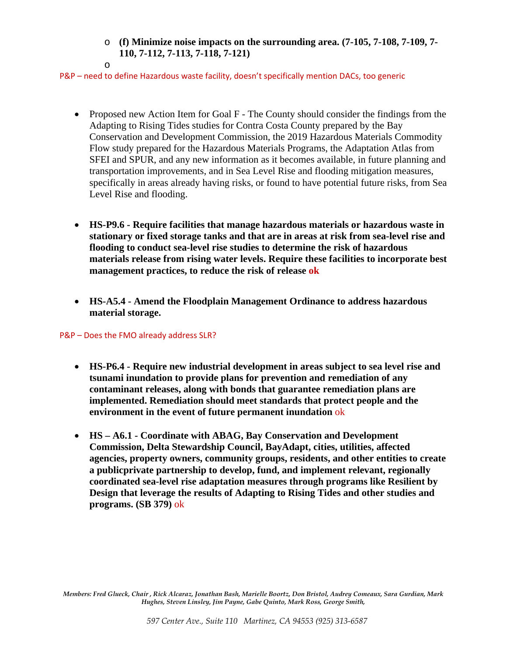## o **(f) Minimize noise impacts on the surrounding area. (7-105, 7-108, 7-109, 7- 110, 7-112, 7-113, 7-118, 7-121)**

#### P&P – need to define Hazardous waste facility, doesn't specifically mention DACs, too generic

- Proposed new Action Item for Goal F The County should consider the findings from the Adapting to Rising Tides studies for Contra Costa County prepared by the Bay Conservation and Development Commission, the 2019 Hazardous Materials Commodity Flow study prepared for the Hazardous Materials Programs, the Adaptation Atlas from SFEI and SPUR, and any new information as it becomes available, in future planning and transportation improvements, and in Sea Level Rise and flooding mitigation measures, specifically in areas already having risks, or found to have potential future risks, from Sea Level Rise and flooding.
- **HS-P9.6 Require facilities that manage hazardous materials or hazardous waste in stationary or fixed storage tanks and that are in areas at risk from sea-level rise and flooding to conduct sea-level rise studies to determine the risk of hazardous materials release from rising water levels. Require these facilities to incorporate best management practices, to reduce the risk of release ok**
- **HS-A5.4 Amend the Floodplain Management Ordinance to address hazardous material storage.**

## P&P – Does the FMO already address SLR?

o

- **HS-P6.4 Require new industrial development in areas subject to sea level rise and tsunami inundation to provide plans for prevention and remediation of any contaminant releases, along with bonds that guarantee remediation plans are implemented. Remediation should meet standards that protect people and the environment in the event of future permanent inundation** ok
- **HS A6.1 Coordinate with ABAG, Bay Conservation and Development Commission, Delta Stewardship Council, BayAdapt, cities, utilities, affected agencies, property owners, community groups, residents, and other entities to create a publicprivate partnership to develop, fund, and implement relevant, regionally coordinated sea-level rise adaptation measures through programs like Resilient by Design that leverage the results of Adapting to Rising Tides and other studies and programs. (SB 379)** ok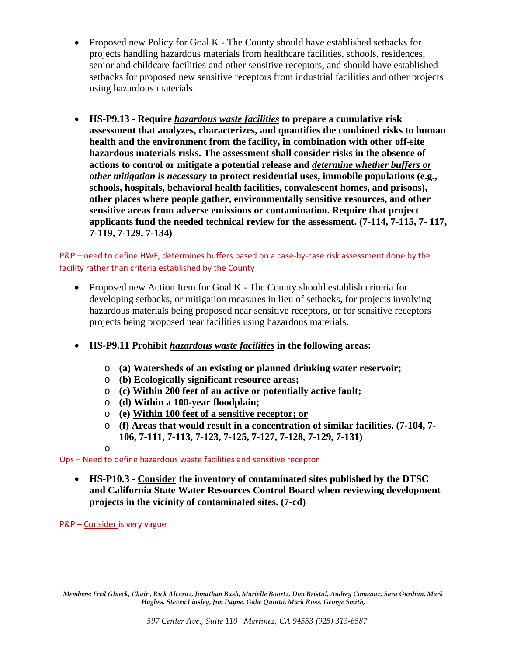- Proposed new Policy for Goal K The County should have established setbacks for projects handling hazardous materials from healthcare facilities, schools, residences, senior and childcare facilities and other sensitive receptors, and should have established setbacks for proposed new sensitive receptors from industrial facilities and other projects using hazardous materials.
- **HS-P9.13 Require** *hazardous waste facilities* **to prepare a cumulative risk assessment that analyzes, characterizes, and quantifies the combined risks to human health and the environment from the facility, in combination with other off-site hazardous materials risks. The assessment shall consider risks in the absence of actions to control or mitigate a potential release and** *determine whether buffers or other mitigation is necessary* **to protect residential uses, immobile populations (e.g., schools, hospitals, behavioral health facilities, convalescent homes, and prisons), other places where people gather, environmentally sensitive resources, and other sensitive areas from adverse emissions or contamination. Require that project applicants fund the needed technical review for the assessment. (7-114, 7-115, 7- 117, 7-119, 7-129, 7-134)**

## P&P – need to define HWF, determines buffers based on a case-by-case risk assessment done by the facility rather than criteria established by the County

- Proposed new Action Item for Goal K The County should establish criteria for developing setbacks, or mitigation measures in lieu of setbacks, for projects involving hazardous materials being proposed near sensitive receptors, or for sensitive receptors projects being proposed near facilities using hazardous materials.
- **HS-P9.11 Prohibit** *hazardous waste facilities* **in the following areas:** 
	- o **(a) Watersheds of an existing or planned drinking water reservoir;**
	- o **(b) Ecologically significant resource areas;**
	- o **(c) Within 200 feet of an active or potentially active fault;**
	- o **(d) Within a 100-year floodplain;**
	- o **(e) Within 100 feet of a sensitive receptor; or**
	- o **(f) Areas that would result in a concentration of similar facilities. (7-104, 7- 106, 7-111, 7-113, 7-123, 7-125, 7-127, 7-128, 7-129, 7-131)**
	- o

Ops – Need to define hazardous waste facilities and sensitive receptor

• **HS-P10.3 - Consider the inventory of contaminated sites published by the DTSC and California State Water Resources Control Board when reviewing development projects in the vicinity of contaminated sites. (7-cd)**

P&P – Consider is very vague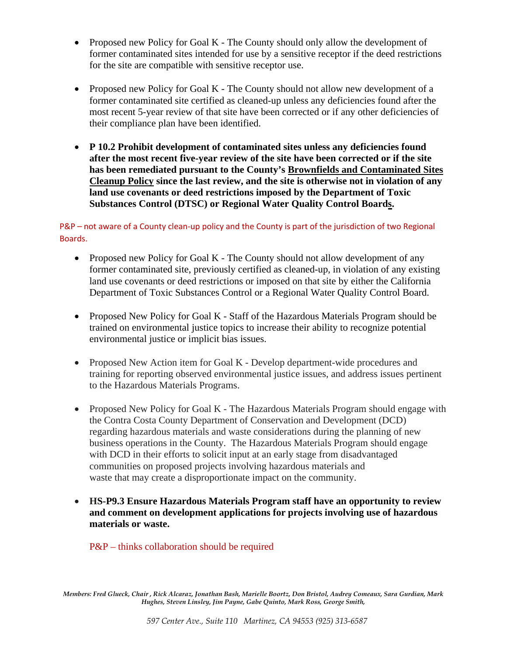- Proposed new Policy for Goal K The County should only allow the development of former contaminated sites intended for use by a sensitive receptor if the deed restrictions for the site are compatible with sensitive receptor use.
- Proposed new Policy for Goal K The County should not allow new development of a former contaminated site certified as cleaned-up unless any deficiencies found after the most recent 5-year review of that site have been corrected or if any other deficiencies of their compliance plan have been identified.
- **P 10.2 Prohibit development of contaminated sites unless any deficiencies found after the most recent five-year review of the site have been corrected or if the site has been remediated pursuant to the County's Brownfields and Contaminated Sites Cleanup Policy since the last review, and the site is otherwise not in violation of any land use covenants or deed restrictions imposed by the Department of Toxic Substances Control (DTSC) or Regional Water Quality Control Boards.**

P&P – not aware of a County clean-up policy and the County is part of the jurisdiction of two Regional Boards.

- Proposed new Policy for Goal K The County should not allow development of any former contaminated site, previously certified as cleaned-up, in violation of any existing land use covenants or deed restrictions or imposed on that site by either the California Department of Toxic Substances Control or a Regional Water Quality Control Board.
- Proposed New Policy for Goal K Staff of the Hazardous Materials Program should be trained on environmental justice topics to increase their ability to recognize potential environmental justice or implicit bias issues.
- Proposed New Action item for Goal K Develop department-wide procedures and training for reporting observed environmental justice issues, and address issues pertinent to the Hazardous Materials Programs.
- Proposed New Policy for Goal K The Hazardous Materials Program should engage with the Contra Costa County Department of Conservation and Development (DCD) regarding hazardous materials and waste considerations during the planning of new business operations in the County. The Hazardous Materials Program should engage with DCD in their efforts to solicit input at an early stage from disadvantaged communities on proposed projects involving hazardous materials and waste that may create a disproportionate impact on the community.
- **HS-P9.3 Ensure Hazardous Materials Program staff have an opportunity to review and comment on development applications for projects involving use of hazardous materials or waste.**

## P&P – thinks collaboration should be required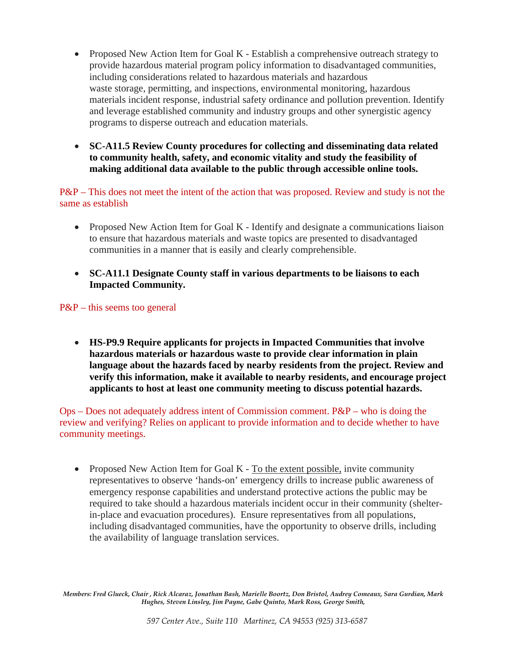- Proposed New Action Item for Goal K Establish a comprehensive outreach strategy to provide hazardous material program policy information to disadvantaged communities, including considerations related to hazardous materials and hazardous waste storage, permitting, and inspections, environmental monitoring, hazardous materials incident response, industrial safety ordinance and pollution prevention. Identify and leverage established community and industry groups and other synergistic agency programs to disperse outreach and education materials.
- **SC-A11.5 Review County procedures for collecting and disseminating data related to community health, safety, and economic vitality and study the feasibility of making additional data available to the public through accessible online tools.**

P&P – This does not meet the intent of the action that was proposed. Review and study is not the same as establish

- Proposed New Action Item for Goal K Identify and designate a communications liaison to ensure that hazardous materials and waste topics are presented to disadvantaged communities in a manner that is easily and clearly comprehensible.
- **SC-A11.1 Designate County staff in various departments to be liaisons to each Impacted Community.**

P&P – this seems too general

• **HS-P9.9 Require applicants for projects in Impacted Communities that involve hazardous materials or hazardous waste to provide clear information in plain language about the hazards faced by nearby residents from the project. Review and verify this information, make it available to nearby residents, and encourage project applicants to host at least one community meeting to discuss potential hazards.**

 $Ops - Does not adequately address intent of Commission comment.  $P\&P - who is doing the$$ review and verifying? Relies on applicant to provide information and to decide whether to have community meetings.

• Proposed New Action Item for Goal K - To the extent possible, invite community representatives to observe 'hands-on' emergency drills to increase public awareness of emergency response capabilities and understand protective actions the public may be required to take should a hazardous materials incident occur in their community (shelterin-place and evacuation procedures). Ensure representatives from all populations, including disadvantaged communities, have the opportunity to observe drills, including the availability of language translation services.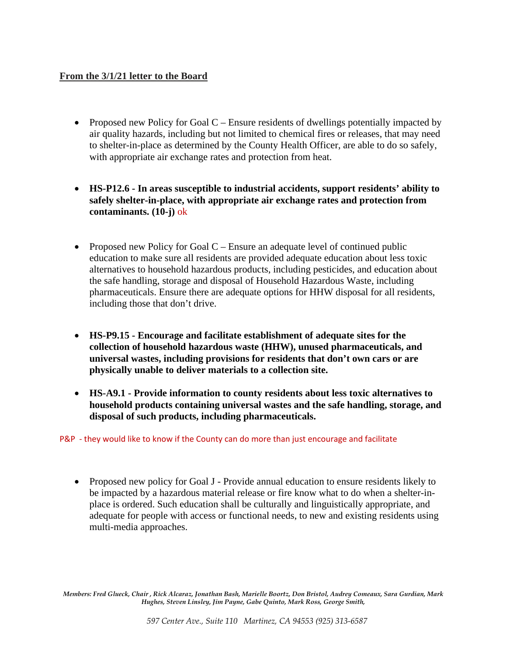## **From the 3/1/21 letter to the Board**

- Proposed new Policy for Goal  $C$  Ensure residents of dwellings potentially impacted by air quality hazards, including but not limited to chemical fires or releases, that may need to shelter-in-place as determined by the County Health Officer, are able to do so safely, with appropriate air exchange rates and protection from heat.
- **HS-P12.6 In areas susceptible to industrial accidents, support residents' ability to safely shelter-in-place, with appropriate air exchange rates and protection from contaminants. (10-j)** ok
- Proposed new Policy for Goal C Ensure an adequate level of continued public education to make sure all residents are provided adequate education about less toxic alternatives to household hazardous products, including pesticides, and education about the safe handling, storage and disposal of Household Hazardous Waste, including pharmaceuticals. Ensure there are adequate options for HHW disposal for all residents, including those that don't drive.
- **HS-P9.15 Encourage and facilitate establishment of adequate sites for the collection of household hazardous waste (HHW), unused pharmaceuticals, and universal wastes, including provisions for residents that don't own cars or are physically unable to deliver materials to a collection site.**
- **HS-A9.1 Provide information to county residents about less toxic alternatives to household products containing universal wastes and the safe handling, storage, and disposal of such products, including pharmaceuticals.**

P&P - they would like to know if the County can do more than just encourage and facilitate

• Proposed new policy for Goal J - Provide annual education to ensure residents likely to be impacted by a hazardous material release or fire know what to do when a shelter-inplace is ordered. Such education shall be culturally and linguistically appropriate, and adequate for people with access or functional needs, to new and existing residents using multi-media approaches.